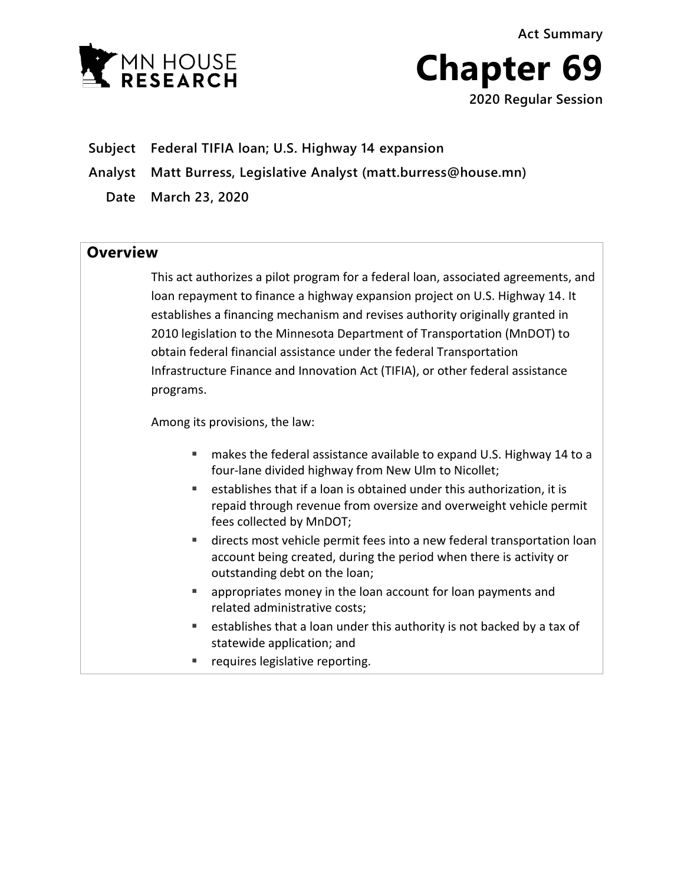**Act Summary**





**2020 Regular Session**

**Subject Federal TIFIA loan; U.S. Highway 14 expansion**

**Analyst Matt Burress, Legislative Analyst (matt.burress@house.mn)**

**Date March 23, 2020**

## **Overview**

This act authorizes a pilot program for a federal loan, associated agreements, and loan repayment to finance a highway expansion project on U.S. Highway 14. It establishes a financing mechanism and revises authority originally granted in 2010 legislation to the Minnesota Department of Transportation (MnDOT) to obtain federal financial assistance under the federal Transportation Infrastructure Finance and Innovation Act (TIFIA), or other federal assistance programs.

Among its provisions, the law:

- **numates the federal assistance available to expand U.S. Highway 14 to a** four-lane divided highway from New Ulm to Nicollet;
- establishes that if a loan is obtained under this authorization, it is repaid through revenue from oversize and overweight vehicle permit fees collected by MnDOT;
- directs most vehicle permit fees into a new federal transportation loan account being created, during the period when there is activity or outstanding debt on the loan;
- **E** appropriates money in the loan account for loan payments and related administrative costs;
- $\blacksquare$  establishes that a loan under this authority is not backed by a tax of statewide application; and
- **•** requires legislative reporting.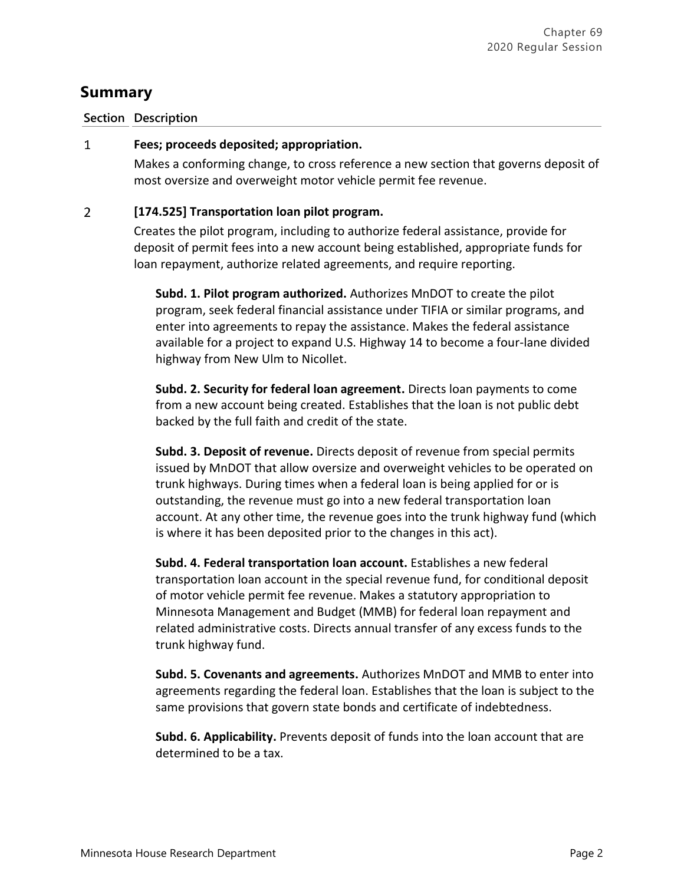# **Summary**

### **Section Description**

#### $\mathbf{1}$ **Fees; proceeds deposited; appropriation.**

Makes a conforming change, to cross reference a new section that governs deposit of most oversize and overweight motor vehicle permit fee revenue.

#### $\overline{2}$ **[174.525] Transportation loan pilot program.**

Creates the pilot program, including to authorize federal assistance, provide for deposit of permit fees into a new account being established, appropriate funds for loan repayment, authorize related agreements, and require reporting.

**Subd. 1. Pilot program authorized.** Authorizes MnDOT to create the pilot program, seek federal financial assistance under TIFIA or similar programs, and enter into agreements to repay the assistance. Makes the federal assistance available for a project to expand U.S. Highway 14 to become a four-lane divided highway from New Ulm to Nicollet.

**Subd. 2. Security for federal loan agreement.** Directs loan payments to come from a new account being created. Establishes that the loan is not public debt backed by the full faith and credit of the state.

**Subd. 3. Deposit of revenue.** Directs deposit of revenue from special permits issued by MnDOT that allow oversize and overweight vehicles to be operated on trunk highways. During times when a federal loan is being applied for or is outstanding, the revenue must go into a new federal transportation loan account. At any other time, the revenue goes into the trunk highway fund (which is where it has been deposited prior to the changes in this act).

**Subd. 4. Federal transportation loan account.** Establishes a new federal transportation loan account in the special revenue fund, for conditional deposit of motor vehicle permit fee revenue. Makes a statutory appropriation to Minnesota Management and Budget (MMB) for federal loan repayment and related administrative costs. Directs annual transfer of any excess funds to the trunk highway fund.

**Subd. 5. Covenants and agreements.** Authorizes MnDOT and MMB to enter into agreements regarding the federal loan. Establishes that the loan is subject to the same provisions that govern state bonds and certificate of indebtedness.

**Subd. 6. Applicability.** Prevents deposit of funds into the loan account that are determined to be a tax.